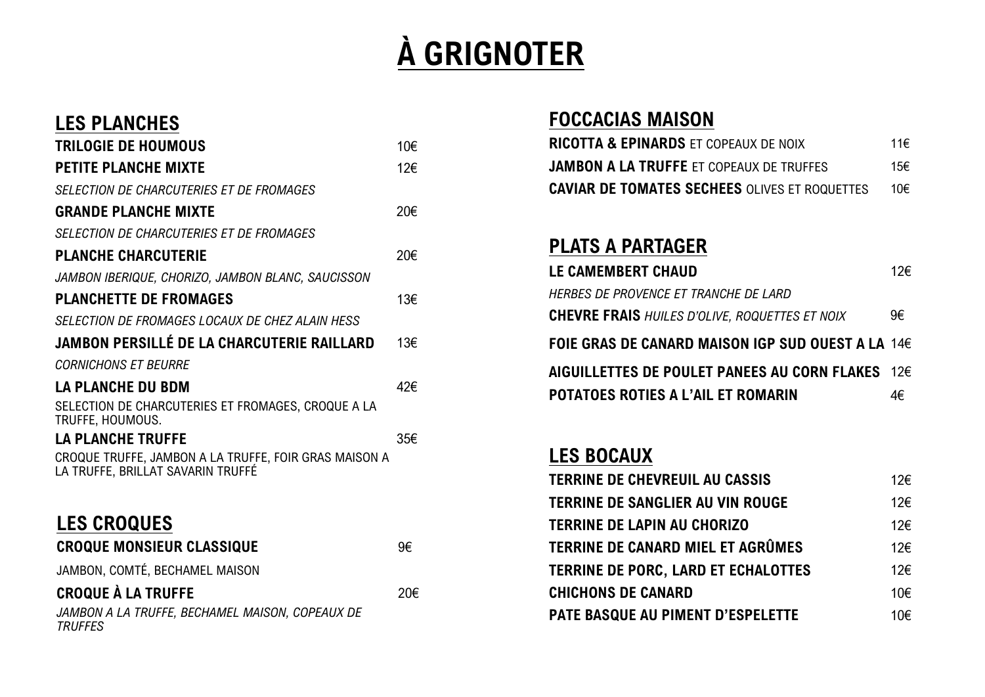# **À GRIGNOTER**

#### **LES PLANCHES**

| <b>TRILOGIE DE HOUMOUS</b>                                                                 | 10€ |
|--------------------------------------------------------------------------------------------|-----|
| <b>PETITE PLANCHE MIXTE</b>                                                                | 12€ |
| SELECTION DE CHARCUTERIES ET DE FROMAGES                                                   |     |
| <b>GRANDE PLANCHE MIXTE</b>                                                                | 20€ |
| SELECTION DE CHARCUTERIES ET DE FROMAGES                                                   |     |
| <b>PLANCHE CHARCUTERIE</b>                                                                 | 20€ |
| JAMBON IBERIQUE, CHORIZO, JAMBON BLANC, SAUCISSON                                          |     |
| <b>PLANCHETTE DE FROMAGES</b>                                                              | 13€ |
| SELECTION DE FROMAGES LOCAUX DE CHEZ ALAIN HESS                                            |     |
| <b>JAMBON PERSILLÉ DE LA CHARCUTERIE RAILLARD</b>                                          | 13€ |
| <b>CORNICHONS ET BEURRE</b>                                                                |     |
| <b>LA PLANCHE DU BDM</b>                                                                   | 42€ |
| SELECTION DE CHARCUTERIES ET FROMAGES, CROQUE A LA<br>TRUFFE, HOUMOUS.                     |     |
| <b>LA PLANCHE TRUFFE</b>                                                                   | 35€ |
| CROQUE TRUFFE, JAMBON A LA TRUFFE, FOIR GRAS MAISON A<br>LA TRUFFE, BRILLAT SAVARIN TRUFFÉ |     |
| <b>LES CROQUES</b>                                                                         |     |
| <b>CROQUE MONSIEUR CLASSIQUE</b>                                                           | 9€  |
| JAMBON, COMTÉ, BECHAMEL MAISON                                                             |     |
| <b>CROQUE À LA TRUFFE</b>                                                                  | 20€ |

*JAMBON A LA TRUFFE, BECHAMEL MAISON, COPEAUX DE TRUFFES*

#### **FOCCACIAS MAISON**

| <b>RICOTTA &amp; EPINARDS ET COPEAUX DE NOIX</b>     | 11€  |
|------------------------------------------------------|------|
| <b>JAMBON A LA TRUFFE ET COPEAUX DE TRUFFES</b>      | 15€. |
| <b>CAVIAR DE TOMATES SECHEES OLIVES ET ROQUETTES</b> | 10€. |

#### **PLATS A PARTAGER**

| LE CAMEMBERT CHAUD                                              | 12€ |
|-----------------------------------------------------------------|-----|
| HERBES DE PROVENCE ET TRANCHE DE LARD                           |     |
| <b>CHEVRE FRAIS</b> HUILES D'OLIVE, ROQUETTES ET NOIX           | 9€  |
| FOIE GRAS DE CANARD MAISON IGP SUD OUEST A LA 14 $\epsilon$     |     |
| AIGUILLETTES DE POULET PANEES AU CORN FLAKES $\,$ 12 $\epsilon$ |     |
| POTATOES ROTIES A L'AIL ET ROMARIN                              | 4€  |

#### **LES BOCAUX**

| <b>TERRINE DE CHEVREUIL AU CASSIS</b> | 12€ |
|---------------------------------------|-----|
| TERRINE DE SANGLIER AU VIN ROUGE      | 12€ |
| TERRINE DE LAPIN AU CHORIZO           | 12€ |
| TERRINE DE CANARD MIEL ET AGRÛMES     | 12€ |
| TERRINE DE PORC, LARD ET ECHALOTTES   | 12€ |
| <b>CHICHONS DE CANARD</b>             | 10€ |
| PATE BASQUE AU PIMENT D'ESPELETTE     | 10€ |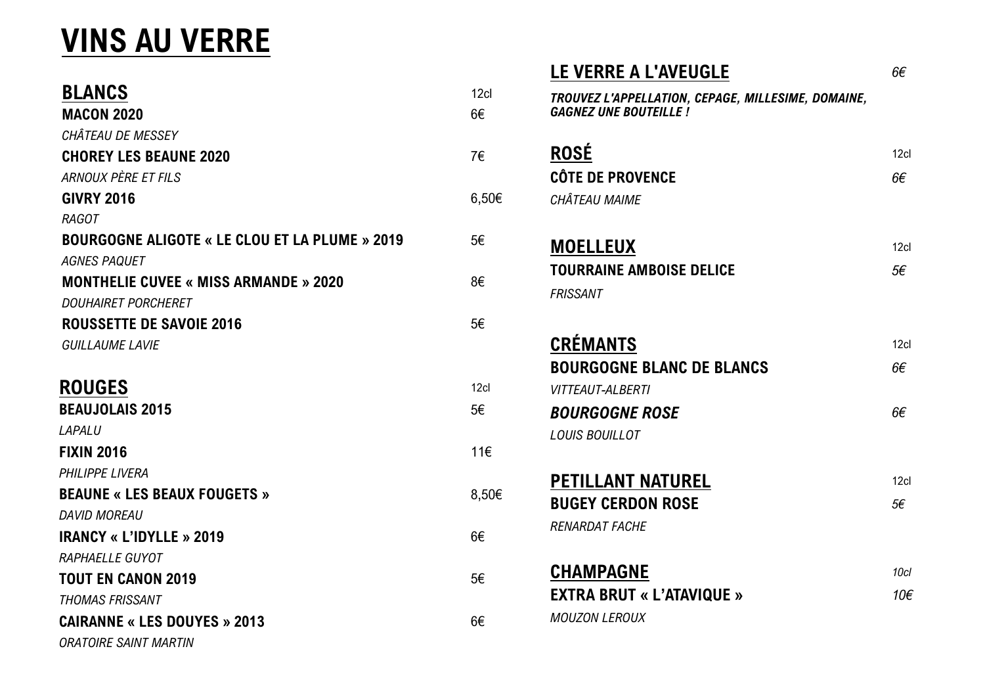# **VINS AU VERRE**

| <b>BLANCS</b>                                         | 12cl  |
|-------------------------------------------------------|-------|
| <b>MACON 2020</b>                                     | 6€    |
| CHÂTEAU DE MESSEY                                     |       |
| <b>CHOREY LES BEAUNE 2020</b>                         | 7€    |
|                                                       |       |
| ARNOUX PÈRE ET FILS                                   |       |
| <b>GIVRY 2016</b>                                     | 6,50€ |
| <b>RAGOT</b>                                          |       |
| <b>BOURGOGNE ALIGOTE « LE CLOU ET LA PLUME » 2019</b> | 5€    |
| <b>AGNES PAQUET</b>                                   |       |
| <b>MONTHELIE CUVEE « MISS ARMANDE » 2020</b>          | 8€    |
| <b>DOUHAIRET PORCHERET</b>                            |       |
| <b>ROUSSETTE DE SAVOIE 2016</b>                       | 5€    |
| <b>GUILLAUME LAVIE</b>                                |       |
| <b>ROUGES</b>                                         | 12cl  |
| <b>BEAUJOLAIS 2015</b>                                | 5€    |
| LAPALU                                                |       |
| <b>FIXIN 2016</b>                                     | 11€   |
| PHILIPPE LIVERA                                       |       |
| <b>BEAUNE « LES BEAUX FOUGETS »</b>                   | 8,50€ |
| <b>DAVID MOREAU</b>                                   |       |
| <b>IRANCY « L'IDYLLE » 2019</b>                       | 6€    |
| RAPHAELLE GUYOT                                       |       |
| <b>TOUT EN CANON 2019</b>                             | 5€    |
| <b>THOMAS FRISSANT</b>                                |       |
| <b>CAIRANNE « LES DOUYES » 2013</b>                   | 6€    |
| <b>ORATOIRE SAINT MARTIN</b>                          |       |

| <b>LE VERRE A L'AVEUGLE</b>                                                        | 6€               |
|------------------------------------------------------------------------------------|------------------|
| TROUVEZ L'APPELLATION, CEPAGE, MILLESIME, DOMAINE,<br><b>GAGNEZ UNE BOUTEILLE!</b> |                  |
| <b>ROSÉ</b>                                                                        | 12 <sub>cl</sub> |
| <b>CÔTE DE PROVENCE</b>                                                            | 6€               |
| CHÂTEAU MAIME                                                                      |                  |
| <b>MOELLEUX</b>                                                                    | 12c              |
| <b>TOURRAINE AMBOISE DELICE</b>                                                    | 5€               |
| <b>FRISSANT</b>                                                                    |                  |
| <b>CRÉMANTS</b>                                                                    | 12cl             |
| <b>BOURGOGNE BLANC DE BLANCS</b>                                                   | 6€               |
| <b>VITTEAUT-ALBERTI</b>                                                            |                  |
| <b>BOURGOGNE ROSE</b>                                                              | 6€               |
| <b>LOUIS BOUILLOT</b>                                                              |                  |
| <b>PETILLANT NATUREL</b>                                                           | 12 <sub>cl</sub> |
| <b>BUGEY CERDON ROSE</b>                                                           | 5€               |
| <b>RENARDAT FACHE</b>                                                              |                  |
| <b>CHAMPAGNE</b>                                                                   |                  |
| <b>EXTRA BRUT « L'ATAVIQUE »</b>                                                   |                  |
| <b>MOUZON LEROUX</b>                                                               |                  |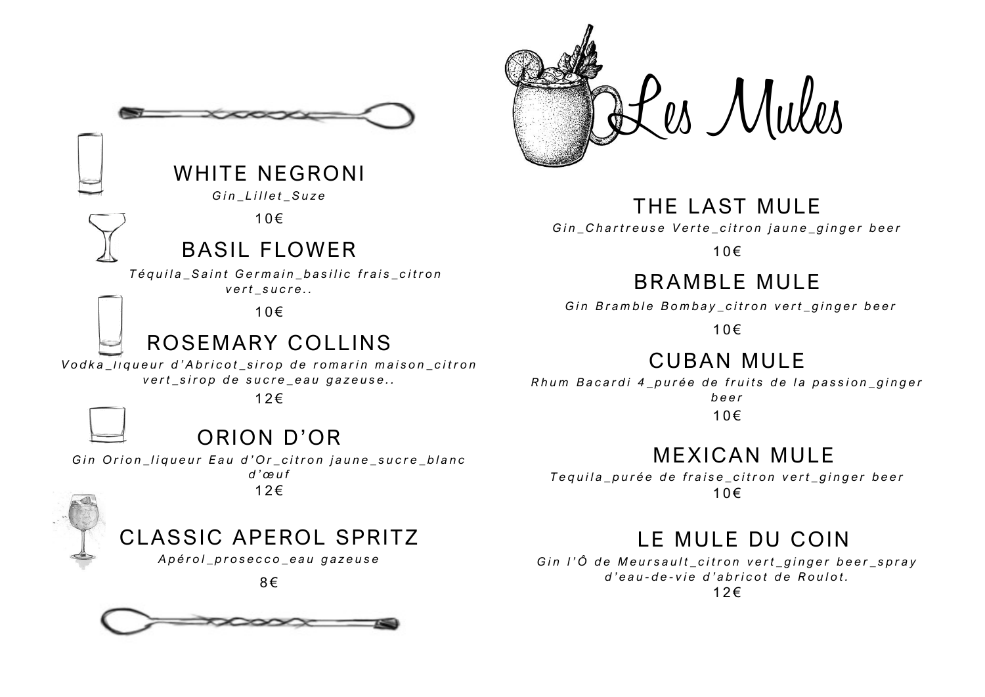

### WHITE NEGRONI

 $G$ *in Lillet Suze* 

 $10 \in$ 

#### BASIL FLOWER

*Téquila Saint Germain basilic frais citron vert sucre..* 

 $10 \in$ 

# ROSEMARY COLLINS

*Vodka liqueur d'Abricot sirop de romarin maison citron* vert\_sirop de sucre\_eau gazeuse..

 $12 \epsilon$ 



# ORION D'OR

*Gin Orion\_liqueur Eau d'Or\_citron jaune\_sucre\_blanc d ' œuf*  $12 \epsilon$ 

# CLASSIC APEROL SPRITZ

*A p é r o l \_ p r o s e c c o \_ e a u g a z e u s e*





Les Mules

#### THE LAST MULE

Gin\_Chartreuse Verte\_citron jaune\_ginger beer

 $10 \in$ 

# BR AMBLE MULE

*Gin Bramble Bombay citron vert ginger beer* 

 $10 \in$ 

## CUBAN MULE

*Rhum Bacardi 4\_purée de fruits de la passion\_ginger beer*

 $10 \in$ 

## MEXICAN MULE

*T e q u i l a \_ p u r é e d e f r a i s e \_ c i t r o n v e r t \_ g i n g e r b e e r*  $10 \in$ 

### LE MULE DU COIN

*Gin l'Ô de Meursault\_citron vert\_ginger beer\_spray d ' eau - d e - v i e d ' a b r i c o t d e R o u l o t .*

 $12 \epsilon$